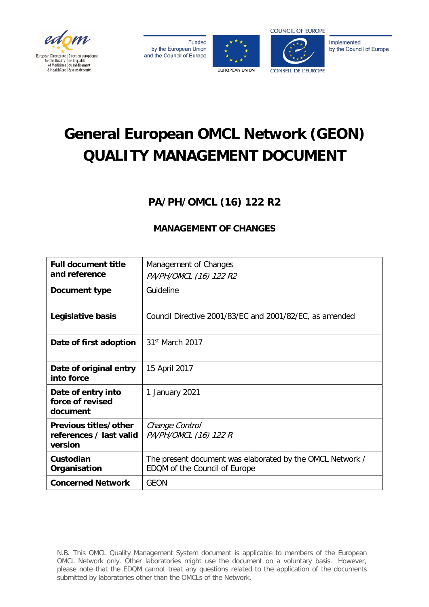









# **General European OMCL Network (GEON) QUALITY MANAGEMENT DOCUMENT**

# **PA/PH/OMCL (16) 122 R2**

## **MANAGEMENT OF CHANGES**

| <b>Full document title</b><br>and reference                 | Management of Changes<br>PA/PH/OMCL (16) 122 R2                                            |
|-------------------------------------------------------------|--------------------------------------------------------------------------------------------|
| Document type                                               | Guideline                                                                                  |
| Legislative basis                                           | Council Directive 2001/83/EC and 2001/82/EC, as amended                                    |
| Date of first adoption                                      | 31 <sup>st</sup> March 2017                                                                |
| Date of original entry<br>into force                        | 15 April 2017                                                                              |
| Date of entry into<br>force of revised<br>document          | 1 January 2021                                                                             |
| Previous titles/other<br>references / last valid<br>version | Change Control<br>PA/PH/OMCL (16) 122 R                                                    |
| Custodian<br>Organisation                                   | The present document was elaborated by the OMCL Network /<br>EDQM of the Council of Europe |
| <b>Concerned Network</b>                                    | GEON                                                                                       |

N.B. This OMCL Quality Management System document is applicable to members of the European OMCL Network only. Other laboratories might use the document on a voluntary basis. However, please note that the EDQM cannot treat any questions related to the application of the documents submitted by laboratories other than the OMCLs of the Network.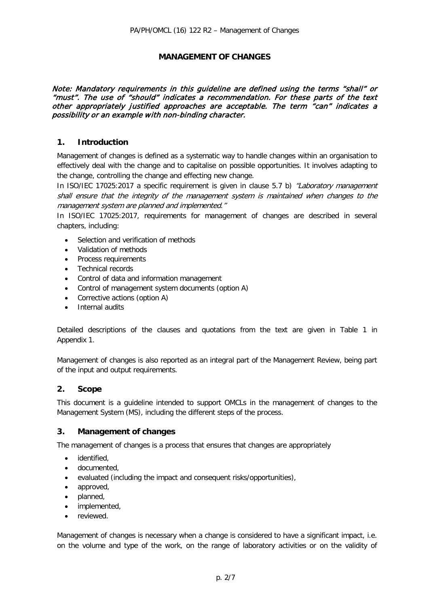## **MANAGEMENT OF CHANGES**

### Note: Mandatory requirements in this guideline are defined using the terms "shall" or "must". The use of "should" indicates a recommendation. For these parts of the text other appropriately justified approaches are acceptable. The term "can" indicates a possibility or an example with non-binding character.

## **1. Introduction**

Management of changes is defined as a systematic way to handle changes within an organisation to effectively deal with the change and to capitalise on possible opportunities. It involves adapting to the change, controlling the change and effecting new change.

In ISO/IEC 17025:2017 a specific requirement is given in clause 5.7 b) *"Laboratory management* shall ensure that the integrity of the management system is maintained when changes to the management system are planned and implemented."

In ISO/IEC 17025:2017, requirements for management of changes are described in several chapters, including:

- Selection and verification of methods
- Validation of methods
- Process requirements
- Technical records
- Control of data and information management
- Control of management system documents (option A)
- Corrective actions (option A)
- Internal audits

Detailed descriptions of the clauses and quotations from the text are given in Table 1 in Appendix 1.

Management of changes is also reported as an integral part of the Management Review, being part of the input and output requirements.

## **2. Scope**

This document is a guideline intended to support OMCLs in the management of changes to the Management System (MS), including the different steps of the process.

## **3. Management of changes**

The management of changes is a process that ensures that changes are appropriately

- identified,
- documented,
- evaluated (including the impact and consequent risks/opportunities),
- approved,
- planned,
- implemented,
- reviewed.

Management of changes is necessary when a change is considered to have a significant impact, i.e. on the volume and type of the work, on the range of laboratory activities or on the validity of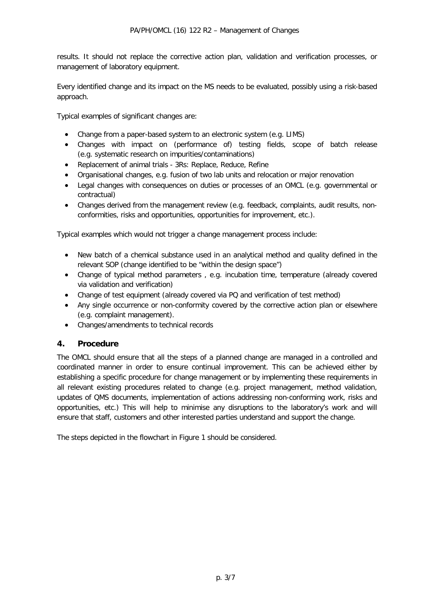results. It should not replace the corrective action plan, validation and verification processes, or management of laboratory equipment.

Every identified change and its impact on the MS needs to be evaluated, possibly using a risk-based approach.

Typical examples of significant changes are:

- Change from a paper-based system to an electronic system (e.g. LIMS)
- Changes with impact on (performance of) testing fields, scope of batch release (e.g. systematic research on impurities/contaminations)
- Replacement of animal trials 3Rs: Replace, Reduce, Refine
- Organisational changes, e.g. fusion of two lab units and relocation or major renovation
- Legal changes with consequences on duties or processes of an OMCL (e.g. governmental or contractual)
- Changes derived from the management review (e.g. feedback, complaints, audit results, nonconformities, risks and opportunities, opportunities for improvement, etc.).

Typical examples which would not trigger a change management process include:

- New batch of a chemical substance used in an analytical method and quality defined in the relevant SOP (change identified to be "within the design space")
- Change of typical method parameters , e.g. incubation time, temperature (already covered via validation and verification)
- Change of test equipment (already covered via PQ and verification of test method)
- Any single occurrence or non-conformity covered by the corrective action plan or elsewhere (e.g. complaint management).
- Changes/amendments to technical records

## **4. Procedure**

The OMCL should ensure that all the steps of a planned change are managed in a controlled and coordinated manner in order to ensure continual improvement. This can be achieved either by establishing a specific procedure for change management or by implementing these requirements in all relevant existing procedures related to change (e.g. project management, method validation, updates of QMS documents, implementation of actions addressing non-conforming work, risks and opportunities, etc.) This will help to minimise any disruptions to the laboratory's work and will ensure that staff, customers and other interested parties understand and support the change.

The steps depicted in the flowchart in Figure 1 should be considered.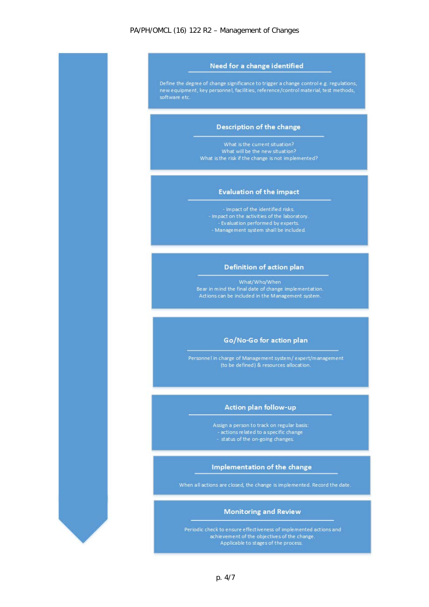#### PA/PH/OMCL (16) 122 R2 – Management of Changes



Impact of the identified risks. - Impact on the activities of the laboratory. 

## Definition of action plan

What/Who/When Bear in mind the final date of change implementation. Actions can be included in the Management system.

#### Go/No-Go for action plan

Personnel in charge of Management system/expert/management (to be defined) & resources allocation.

#### **Action plan follow-up**

Assign a person to track on regular basis:<br>- actions related to a specific change

- 
- status of the on-going changes.

#### Implementation of the change

When all actions are closed, the change is implemented. Record the date.

#### **Monitoring and Review**

Periodic check to ensure effectiveness of implemented actions and achievement of the objectives of the change. Applicable to stages of the process.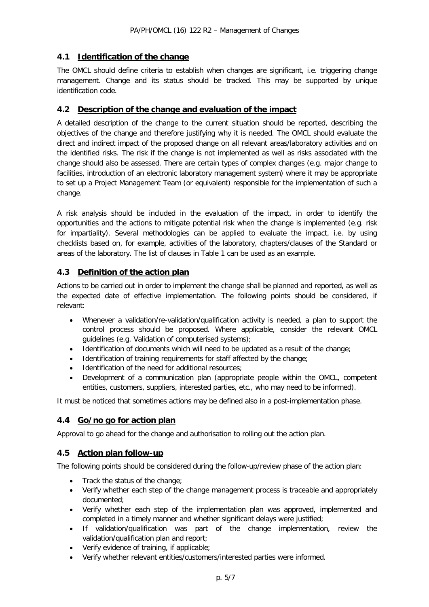## **4.1 Identification of the change**

The OMCL should define criteria to establish when changes are significant, i.e. triggering change management. Change and its status should be tracked. This may be supported by unique identification code.

## **4.2 Description of the change and evaluation of the impact**

A detailed description of the change to the current situation should be reported, describing the objectives of the change and therefore justifying why it is needed. The OMCL should evaluate the direct and indirect impact of the proposed change on all relevant areas/laboratory activities and on the identified risks. The risk if the change is not implemented as well as risks associated with the change should also be assessed. There are certain types of complex changes (e.g. major change to facilities, introduction of an electronic laboratory management system) where it may be appropriate to set up a Project Management Team (or equivalent) responsible for the implementation of such a change.

A risk analysis should be included in the evaluation of the impact, in order to identify the opportunities and the actions to mitigate potential risk when the change is implemented (e.g. risk for impartiality). Several methodologies can be applied to evaluate the impact, i.e. by using checklists based on, for example, activities of the laboratory, chapters/clauses of the Standard or areas of the laboratory. The list of clauses in Table 1 can be used as an example.

## **4.3 Definition of the action plan**

Actions to be carried out in order to implement the change shall be planned and reported, as well as the expected date of effective implementation. The following points should be considered, if relevant:

- Whenever a validation/re-validation/qualification activity is needed, a plan to support the control process should be proposed. Where applicable, consider the relevant OMCL guidelines (e.g. Validation of computerised systems);
- Identification of documents which will need to be updated as a result of the change;
- Identification of training requirements for staff affected by the change;
- Identification of the need for additional resources:
- Development of a communication plan (appropriate people within the OMCL, competent entities, customers, suppliers, interested parties, etc., who may need to be informed).

It must be noticed that sometimes actions may be defined also in a post-implementation phase.

## **4.4 Go/no go for action plan**

Approval to go ahead for the change and authorisation to rolling out the action plan.

## **4.5 Action plan follow-up**

The following points should be considered during the follow-up/review phase of the action plan:

- Track the status of the change;
- Verify whether each step of the change management process is traceable and appropriately documented;
- Verify whether each step of the implementation plan was approved, implemented and completed in a timely manner and whether significant delays were justified;
- If validation/qualification was part of the change implementation, review the validation/qualification plan and report;
- Verify evidence of training, if applicable;
- Verify whether relevant entities/customers/interested parties were informed.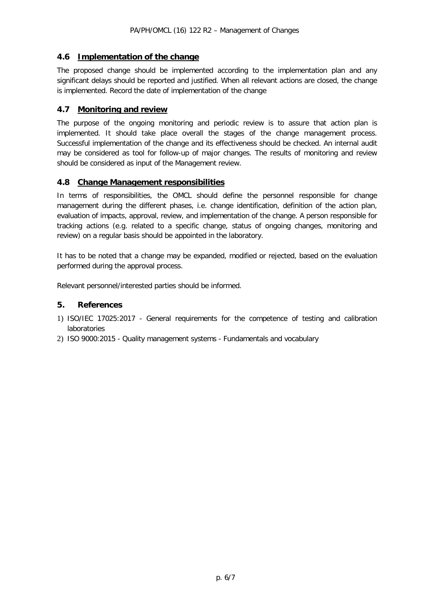## **4.6 Implementation of the change**

The proposed change should be implemented according to the implementation plan and any significant delays should be reported and justified. When all relevant actions are closed, the change is implemented. Record the date of implementation of the change

## **4.7 Monitoring and review**

The purpose of the ongoing monitoring and periodic review is to assure that action plan is implemented. It should take place overall the stages of the change management process. Successful implementation of the change and its effectiveness should be checked. An internal audit may be considered as tool for follow-up of major changes. The results of monitoring and review should be considered as input of the Management review.

## **4.8 Change Management responsibilities**

In terms of responsibilities, the OMCL should define the personnel responsible for change management during the different phases, i.e. change identification, definition of the action plan, evaluation of impacts, approval, review, and implementation of the change. A person responsible for tracking actions (e.g. related to a specific change, status of ongoing changes, monitoring and review) on a regular basis should be appointed in the laboratory.

It has to be noted that a change may be expanded, modified or rejected, based on the evaluation performed during the approval process.

Relevant personnel/interested parties should be informed.

## **5. References**

- 1) ISO/IEC 17025:2017 General requirements for the competence of testing and calibration laboratories
- 2) ISO 9000:2015 Quality management systems Fundamentals and vocabulary